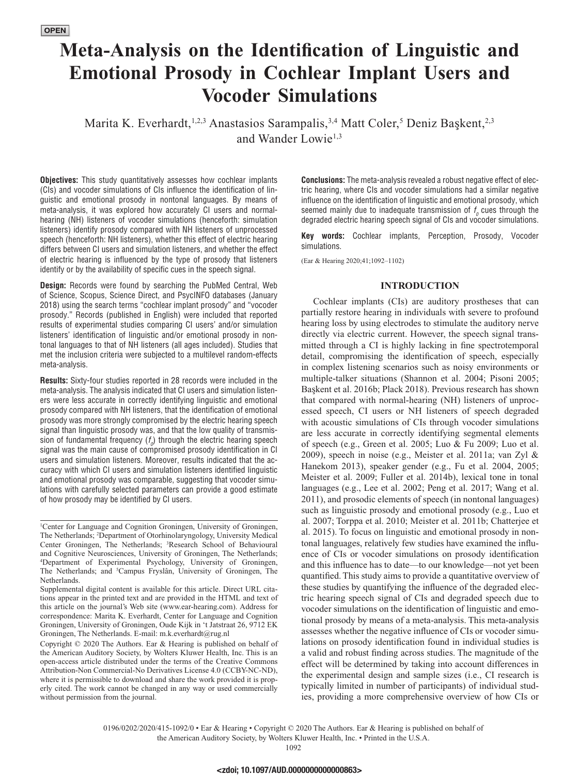**OPEN** 

# **Meta-Analysis on the Identification of Linguistic and Emotional Prosody in Cochlear Implant Users and Vocoder Simulations**

Marita K. Everhardt,<sup>1,2,3</sup> Anastasios Sarampalis,<sup>3,4</sup> Matt Coler,<sup>5</sup> Deniz Başkent,<sup>2,3</sup> and Wander Lowie<sup>1,3</sup>

**Objectives:** This study quantitatively assesses how cochlear implants (CIs) and vocoder simulations of CIs influence the identification of linguistic and emotional prosody in nontonal languages. By means of meta-analysis, it was explored how accurately CI users and normalhearing (NH) listeners of vocoder simulations (henceforth: simulation listeners) identify prosody compared with NH listeners of unprocessed speech (henceforth: NH listeners), whether this effect of electric hearing differs between CI users and simulation listeners, and whether the effect of electric hearing is influenced by the type of prosody that listeners identify or by the availability of specific cues in the speech signal.

**Design:** Records were found by searching the PubMed Central, Web of Science, Scopus, Science Direct, and PsycINFO databases (January 2018) using the search terms "cochlear implant prosody" and "vocoder prosody." Records (published in English) were included that reported results of experimental studies comparing CI users' and/or simulation listeners' identification of linguistic and/or emotional prosody in nontonal languages to that of NH listeners (all ages included). Studies that met the inclusion criteria were subjected to a multilevel random-effects meta-analysis.

**Results:** Sixty-four studies reported in 28 records were included in the meta-analysis. The analysis indicated that CI users and simulation listeners were less accurate in correctly identifying linguistic and emotional prosody compared with NH listeners, that the identification of emotional prosody was more strongly compromised by the electric hearing speech signal than linguistic prosody was, and that the low quality of transmission of fundamental frequency  $(f_{\scriptscriptstyle{\theta}})$  through the electric hearing speech signal was the main cause of compromised prosody identification in CI users and simulation listeners. Moreover, results indicated that the accuracy with which CI users and simulation listeners identified linguistic and emotional prosody was comparable, suggesting that vocoder simulations with carefully selected parameters can provide a good estimate of how prosody may be identified by CI users.

Copyright © 2020 The Authors. Ear & Hearing is published on behalf of the American Auditory Society, by Wolters Kluwer Health, Inc. This is an open-access article distributed under the terms of the [Creative Commons](http://creativecommons.org/licenses/by-nc-nd/4.0/)  [Attribution-Non Commercial-No Derivatives License 4.0 \(CCBY-NC-ND\),](http://creativecommons.org/licenses/by-nc-nd/4.0/) where it is permissible to download and share the work provided it is properly cited. The work cannot be changed in any way or used commercially without permission from the journal.

**Conclusions:** The meta-analysis revealed a robust negative effect of electric hearing, where CIs and vocoder simulations had a similar negative influence on the identification of linguistic and emotional prosody, which seemed mainly due to inadequate transmission of  $f_{_0}$  cues through the degraded electric hearing speech signal of CIs and vocoder simulations.

**Key words:** Cochlear implants, Perception, Prosody, Vocoder simulations.

(Ear & Hearing 2020;41;1092–1102)

# **INTRODUCTION**

Cochlear implants (CIs) are auditory prostheses that can partially restore hearing in individuals with severe to profound hearing loss by using electrodes to stimulate the auditory nerve directly via electric current. However, the speech signal transmitted through a CI is highly lacking in fine spectrotemporal detail, compromising the identification of speech, especially in complex listening scenarios such as noisy environments or multiple-talker situations (Shannon et al. 2004; Pisoni 2005; Başkent et al. 2016b; Plack 2018). Previous research has shown that compared with normal-hearing (NH) listeners of unprocessed speech, CI users or NH listeners of speech degraded with acoustic simulations of CIs through vocoder simulations are less accurate in correctly identifying segmental elements of speech (e.g., Green et al. 2005; Luo & Fu 2009; Luo et al. 2009), speech in noise (e.g., Meister et al. 2011a; van Zyl & Hanekom 2013), speaker gender (e.g., Fu et al. 2004, 2005; Meister et al. 2009; Fuller et al. 2014b), lexical tone in tonal languages (e.g., Lee et al. 2002; Peng et al. 2017; Wang et al. 2011), and prosodic elements of speech (in nontonal languages) such as linguistic prosody and emotional prosody (e.g., Luo et al. 2007; Torppa et al. 2010; Meister et al. 2011b; Chatterjee et al. 2015). To focus on linguistic and emotional prosody in nontonal languages, relatively few studies have examined the influence of CIs or vocoder simulations on prosody identification and this influence has to date—to our knowledge—not yet been quantified. This study aims to provide a quantitative overview of these studies by quantifying the influence of the degraded electric hearing speech signal of CIs and degraded speech due to vocoder simulations on the identification of linguistic and emotional prosody by means of a meta-analysis. This meta-analysis assesses whether the negative influence of CIs or vocoder simulations on prosody identification found in individual studies is a valid and robust finding across studies. The magnitude of the effect will be determined by taking into account differences in the experimental design and sample sizes (i.e., CI research is typically limited in number of participants) of individual studies, providing a more comprehensive overview of how CIs or

0196/0202/2020/415-1092/0 • Ear & Hearing • Copyright © 2020 The Authors. Ear & Hearing is published on behalf of

the American Auditory Society, by Wolters Kluwer Health, Inc. • Printed in the U.S.A.

1092

<sup>1</sup> Center for Language and Cognition Groningen, University of Groningen, The Netherlands; 2 Department of Otorhinolaryngology, University Medical Center Groningen, The Netherlands; <sup>3</sup>Research School of Behavioural and Cognitive Neurosciences, University of Groningen, The Netherlands; 4 Department of Experimental Psychology, University of Groningen, The Netherlands; and <sup>5</sup>Campus Fryslân, University of Groningen, The Netherlands.

Supplemental digital content is available for this article. Direct URL citations appear in the printed text and are provided in the HTML and text of this article on the journal's Web site (<www.ear-hearing.com>). Address for correspondence: Marita K. Everhardt, Center for Language and Cognition Groningen, University of Groningen, Oude Kijk in 't Jatstraat 26, 9712 EK Groningen, The Netherlands. E-mail: [m.k.everhardt@rug.nl](mailto:m.k.everhardt@rug.nl)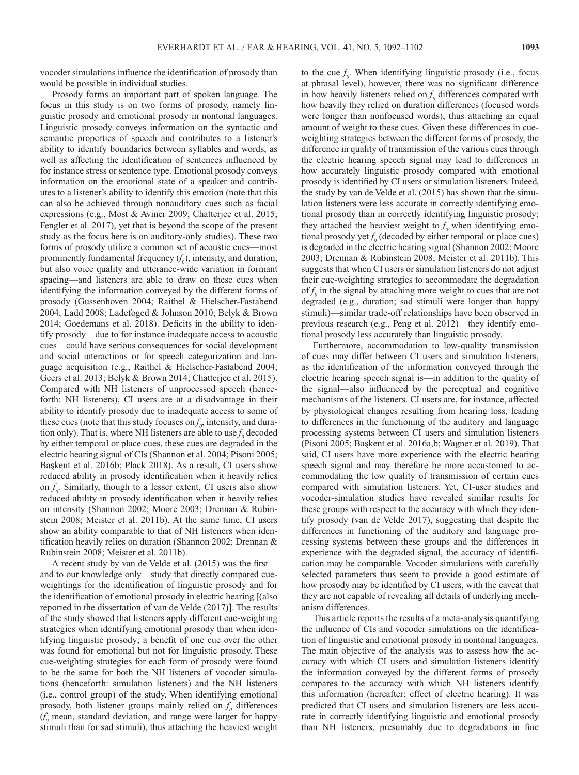vocoder simulations influence the identification of prosody than would be possible in individual studies.

Prosody forms an important part of spoken language. The focus in this study is on two forms of prosody, namely linguistic prosody and emotional prosody in nontonal languages. Linguistic prosody conveys information on the syntactic and semantic properties of speech and contributes to a listener's ability to identify boundaries between syllables and words, as well as affecting the identification of sentences influenced by for instance stress or sentence type. Emotional prosody conveys information on the emotional state of a speaker and contributes to a listener's ability to identify this emotion (note that this can also be achieved through nonauditory cues such as facial expressions (e.g., Most & Aviner 2009; Chatterjee et al. 2015; Fengler et al. 2017), yet that is beyond the scope of the present study as the focus here is on auditory-only studies). These two forms of prosody utilize a common set of acoustic cues—most prominently fundamental frequency  $(f_0)$ , intensity, and duration, but also voice quality and utterance-wide variation in formant spacing—and listeners are able to draw on these cues when identifying the information conveyed by the different forms of prosody (Gussenhoven 2004; Raithel & Hielscher-Fastabend 2004; Ladd 2008; Ladefoged & Johnson 2010; Belyk & Brown 2014; Goedemans et al. 2018). Deficits in the ability to identify prosody—due to for instance inadequate access to acoustic cues—could have serious consequences for social development and social interactions or for speech categorization and language acquisition (e.g., Raithel & Hielscher-Fastabend 2004; Geers et al. 2013; Belyk & Brown 2014; Chatterjee et al. 2015). Compared with NH listeners of unprocessed speech (henceforth: NH listeners), CI users are at a disadvantage in their ability to identify prosody due to inadequate access to some of these cues (note that this study focuses on  $f_{\rho}$ , intensity, and duration only). That is, where NH listeners are able to use  $f_0$  decoded by either temporal or place cues, these cues are degraded in the electric hearing signal of CIs (Shannon et al. 2004; Pisoni 2005; Başkent et al. 2016b; Plack 2018). As a result, CI users show reduced ability in prosody identification when it heavily relies on  $f_{\theta}$ . Similarly, though to a lesser extent, CI users also show reduced ability in prosody identification when it heavily relies on intensity (Shannon 2002; Moore 2003; Drennan & Rubinstein 2008; Meister et al. 2011b). At the same time, CI users show an ability comparable to that of NH listeners when identification heavily relies on duration (Shannon 2002; Drennan & Rubinstein 2008; Meister et al. 2011b).

A recent study by van de Velde et al. (2015) was the first and to our knowledge only—study that directly compared cueweightings for the identification of linguistic prosody and for the identification of emotional prosody in electric hearing [(also reported in the dissertation of van de Velde (2017)]. The results of the study showed that listeners apply different cue-weighting strategies when identifying emotional prosody than when identifying linguistic prosody; a benefit of one cue over the other was found for emotional but not for linguistic prosody. These cue-weighting strategies for each form of prosody were found to be the same for both the NH listeners of vocoder simulations (henceforth: simulation listeners) and the NH listeners (i.e., control group) of the study. When identifying emotional prosody, both listener groups mainly relied on  $f_0$  differences  $(f_0)$  mean, standard deviation, and range were larger for happy stimuli than for sad stimuli), thus attaching the heaviest weight

to the cue  $f_0$ . When identifying linguistic prosody (i.e., focus at phrasal level), however, there was no significant difference in how heavily listeners relied on  $f_0$  differences compared with how heavily they relied on duration differences (focused words were longer than nonfocused words), thus attaching an equal amount of weight to these cues. Given these differences in cueweighting strategies between the different forms of prosody, the difference in quality of transmission of the various cues through the electric hearing speech signal may lead to differences in how accurately linguistic prosody compared with emotional prosody is identified by CI users or simulation listeners. Indeed, the study by van de Velde et al. (2015) has shown that the simulation listeners were less accurate in correctly identifying emotional prosody than in correctly identifying linguistic prosody; they attached the heaviest weight to  $f_{\theta}$  when identifying emotional prosody yet  $f_0$  (decoded by either temporal or place cues) is degraded in the electric hearing signal (Shannon 2002; Moore 2003; Drennan & Rubinstein 2008; Meister et al. 2011b). This suggests that when CI users or simulation listeners do not adjust their cue-weighting strategies to accommodate the degradation of  $f_{\theta}$  in the signal by attaching more weight to cues that are not degraded (e.g., duration; sad stimuli were longer than happy stimuli)—similar trade-off relationships have been observed in previous research (e.g., Peng et al. 2012)—they identify emotional prosody less accurately than linguistic prosody.

Furthermore, accommodation to low-quality transmission of cues may differ between CI users and simulation listeners, as the identification of the information conveyed through the electric hearing speech signal is—in addition to the quality of the signal—also influenced by the perceptual and cognitive mechanisms of the listeners. CI users are, for instance, affected by physiological changes resulting from hearing loss, leading to differences in the functioning of the auditory and language processing systems between CI users and simulation listeners (Pisoni 2005; Başkent et al. 2016a,b; Wagner et al. 2019). That said, CI users have more experience with the electric hearing speech signal and may therefore be more accustomed to accommodating the low quality of transmission of certain cues compared with simulation listeners. Yet, CI-user studies and vocoder-simulation studies have revealed similar results for these groups with respect to the accuracy with which they identify prosody (van de Velde 2017), suggesting that despite the differences in functioning of the auditory and language processing systems between these groups and the differences in experience with the degraded signal, the accuracy of identification may be comparable. Vocoder simulations with carefully selected parameters thus seem to provide a good estimate of how prosody may be identified by CI users, with the caveat that they are not capable of revealing all details of underlying mechanism differences.

This article reports the results of a meta-analysis quantifying the influence of CIs and vocoder simulations on the identification of linguistic and emotional prosody in nontonal languages. The main objective of the analysis was to assess how the accuracy with which CI users and simulation listeners identify the information conveyed by the different forms of prosody compares to the accuracy with which NH listeners identify this information (hereafter: effect of electric hearing). It was predicted that CI users and simulation listeners are less accurate in correctly identifying linguistic and emotional prosody than NH listeners, presumably due to degradations in fine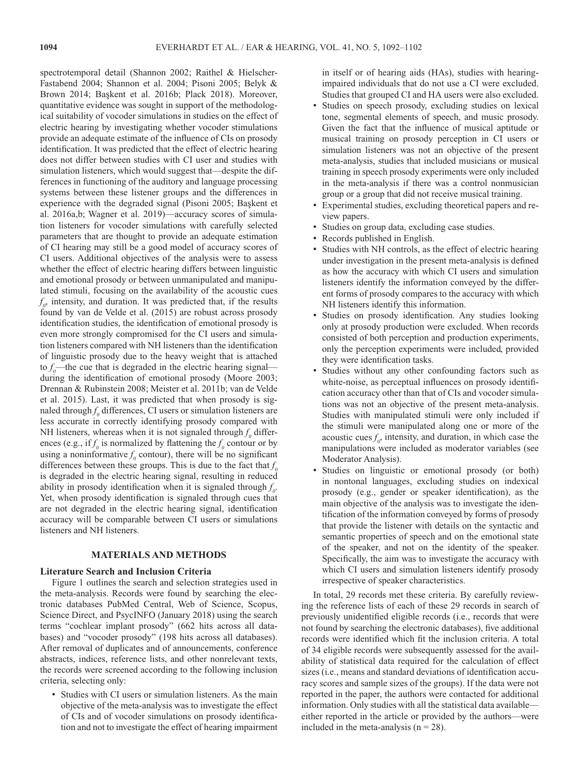spectrotemporal detail (Shannon 2002; Raithel & Hielscher-Fastabend 2004; Shannon et al. 2004; Pisoni 2005; Belyk & Brown 2014; Başkent et al. 2016b; Plack 2018). Moreover, quantitative evidence was sought in support of the methodological suitability of vocoder simulations in studies on the effect of electric hearing by investigating whether vocoder stimulations provide an adequate estimate of the influence of CIs on prosody identification. It was predicted that the effect of electric hearing does not differ between studies with CI user and studies with simulation listeners, which would suggest that—despite the differences in functioning of the auditory and language processing systems between these listener groups and the differences in experience with the degraded signal (Pisoni 2005; Başkent et al. 2016a,b; Wagner et al. 2019)—accuracy scores of simulation listeners for vocoder simulations with carefully selected parameters that are thought to provide an adequate estimation of CI hearing may still be a good model of accuracy scores of CI users. Additional objectives of the analysis were to assess whether the effect of electric hearing differs between linguistic and emotional prosody or between unmanipulated and manipulated stimuli, focusing on the availability of the acoustic cues  $f_{\theta}$ , intensity, and duration. It was predicted that, if the results found by van de Velde et al. (2015) are robust across prosody identification studies, the identification of emotional prosody is even more strongly compromised for the CI users and simulation listeners compared with NH listeners than the identification of linguistic prosody due to the heavy weight that is attached to  $f_{\theta}$ —the cue that is degraded in the electric hearing signal during the identification of emotional prosody (Moore 2003; Drennan & Rubinstein 2008; Meister et al. 2011b; van de Velde et al. 2015). Last, it was predicted that when prosody is signaled through  $f_0$  differences, CI users or simulation listeners are less accurate in correctly identifying prosody compared with NH listeners, whereas when it is not signaled through  $f_0$  differences (e.g., if  $f_0$  is normalized by flattening the  $f_0$  contour or by using a noninformative  $f_0$  contour), there will be no significant differences between these groups. This is due to the fact that  $f_0$ is degraded in the electric hearing signal, resulting in reduced ability in prosody identification when it is signaled through  $f_0$ . Yet, when prosody identification is signaled through cues that are not degraded in the electric hearing signal, identification accuracy will be comparable between CI users or simulations listeners and NH listeners.

# **MATERIALS AND METHODS**

# **Literature Search and Inclusion Criteria**

Figure 1 outlines the search and selection strategies used in the meta-analysis. Records were found by searching the electronic databases PubMed Central, Web of Science, Scopus, Science Direct, and PsycINFO (January 2018) using the search terms "cochlear implant prosody" (662 hits across all databases) and "vocoder prosody" (198 hits across all databases). After removal of duplicates and of announcements, conference abstracts, indices, reference lists, and other nonrelevant texts, the records were screened according to the following inclusion criteria, selecting only:

• Studies with CI users or simulation listeners. As the main objective of the meta-analysis was to investigate the effect of CIs and of vocoder simulations on prosody identification and not to investigate the effect of hearing impairment in itself or of hearing aids (HAs), studies with hearingimpaired individuals that do not use a CI were excluded. Studies that grouped CI and HA users were also excluded.

- • Studies on speech prosody, excluding studies on lexical tone, segmental elements of speech, and music prosody. Given the fact that the influence of musical aptitude or musical training on prosody perception in CI users or simulation listeners was not an objective of the present meta-analysis, studies that included musicians or musical training in speech prosody experiments were only included in the meta-analysis if there was a control nonmusician group or a group that did not receive musical training.
- Experimental studies, excluding theoretical papers and review papers.
- Studies on group data, excluding case studies.
- Records published in English.
- Studies with NH controls, as the effect of electric hearing under investigation in the present meta-analysis is defined as how the accuracy with which CI users and simulation listeners identify the information conveyed by the different forms of prosody compares to the accuracy with which NH listeners identify this information.
- • Studies on prosody identification. Any studies looking only at prosody production were excluded. When records consisted of both perception and production experiments, only the perception experiments were included, provided they were identification tasks.
- Studies without any other confounding factors such as white-noise, as perceptual influences on prosody identification accuracy other than that of CIs and vocoder simulations was not an objective of the present meta-analysis. Studies with manipulated stimuli were only included if the stimuli were manipulated along one or more of the acoustic cues  $f_{\rho}$ , intensity, and duration, in which case the manipulations were included as moderator variables (see Moderator Analysis).
- Studies on linguistic or emotional prosody (or both) in nontonal languages, excluding studies on indexical prosody (e.g., gender or speaker identification), as the main objective of the analysis was to investigate the identification of the information conveyed by forms of prosody that provide the listener with details on the syntactic and semantic properties of speech and on the emotional state of the speaker, and not on the identity of the speaker. Specifically, the aim was to investigate the accuracy with which CI users and simulation listeners identify prosody irrespective of speaker characteristics.

In total, 29 records met these criteria. By carefully reviewing the reference lists of each of these 29 records in search of previously unidentified eligible records (i.e., records that were not found by searching the electronic databases), five additional records were identified which fit the inclusion criteria. A total of 34 eligible records were subsequently assessed for the availability of statistical data required for the calculation of effect sizes (i.e., means and standard deviations of identification accuracy scores and sample sizes of the groups). If the data were not reported in the paper, the authors were contacted for additional information. Only studies with all the statistical data available either reported in the article or provided by the authors—were included in the meta-analysis  $(n = 28)$ .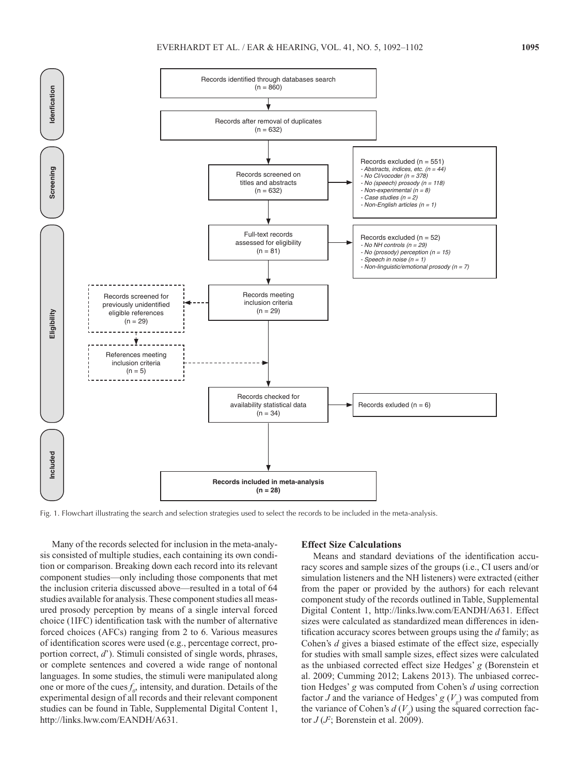



Fig. 1. Flowchart illustrating the search and selection strategies used to select the records to be included in the meta-analysis.

Many of the records selected for inclusion in the meta-analysis consisted of multiple studies, each containing its own condition or comparison. Breaking down each record into its relevant component studies—only including those components that met the inclusion criteria discussed above—resulted in a total of 64 studies available for analysis. These component studies all measured prosody perception by means of a single interval forced choice (1IFC) identification task with the number of alternative forced choices (AFCs) ranging from 2 to 6. Various measures of identification scores were used (e.g., percentage correct, proportion correct, *d*'). Stimuli consisted of single words, phrases, or complete sentences and covered a wide range of nontonal languages. In some studies, the stimuli were manipulated along one or more of the cues  $f_{\theta}$ , intensity, and duration. Details of the experimental design of all records and their relevant component studies can be found in Table, Supplemental Digital Content 1, [http://links.lww.com/EANDH/A631.](http://links.lww.com/EANDH/A631)

#### **Effect Size Calculations**

Means and standard deviations of the identification accuracy scores and sample sizes of the groups (i.e., CI users and/or simulation listeners and the NH listeners) were extracted (either from the paper or provided by the authors) for each relevant component study of the records outlined in Table, Supplemental Digital Content 1, [http://links.lww.com/EANDH/A631.](http://links.lww.com/EANDH/A631) Effect sizes were calculated as standardized mean differences in identification accuracy scores between groups using the *d* family; as Cohen's *d* gives a biased estimate of the effect size, especially for studies with small sample sizes, effect sizes were calculated as the unbiased corrected effect size Hedges' *g* (Borenstein et al. 2009; Cumming 2012; Lakens 2013). The unbiased correction Hedges' *g* was computed from Cohen's *d* using correction factor *J* and the variance of Hedges'  $g(V_g)$  was computed from the variance of Cohen's  $d(V_d)$  using the squared correction factor  $J(J^2)$ ; Borenstein et al. 2009).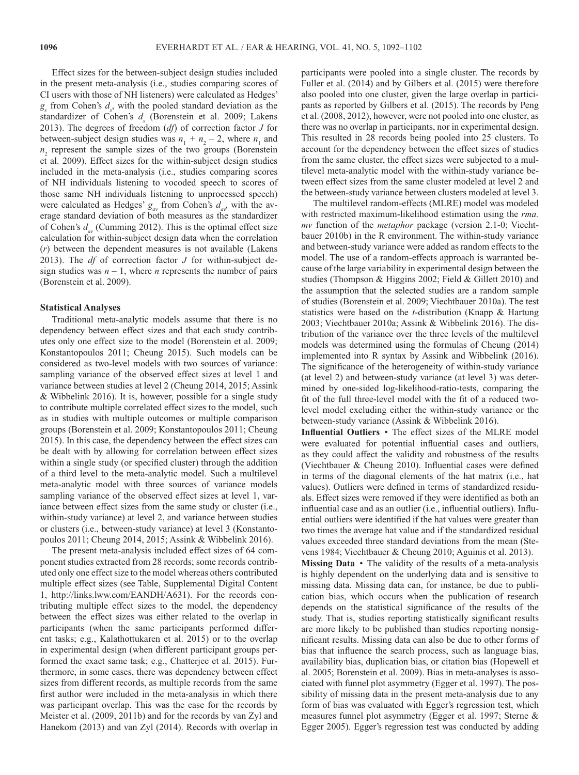Effect sizes for the between-subject design studies included in the present meta-analysis (i.e., studies comparing scores of CI users with those of NH listeners) were calculated as Hedges'  $g_s$  from Cohen's  $d_s$ , with the pooled standard deviation as the standardizer of Cohen's  $d_s$  (Borenstein et al. 2009; Lakens 2013). The degrees of freedom (*df*) of correction factor *J* for between-subject design studies was  $n_1 + n_2 - 2$ , where  $n_1$  and  $n_2$  represent the sample sizes of the two groups (Borenstein et al. 2009). Effect sizes for the within-subject design studies included in the meta-analysis (i.e., studies comparing scores of NH individuals listening to vocoded speech to scores of those same NH individuals listening to unprocessed speech) were calculated as Hedges'  $g_{av}$  from Cohen's  $d_{av}$ , with the average standard deviation of both measures as the standardizer of Cohen's  $d_{av}$  (Cumming 2012). This is the optimal effect size calculation for within-subject design data when the correlation (*r*) between the dependent measures is not available (Lakens 2013). The *df* of correction factor *J* for within-subject design studies was  $n-1$ , where *n* represents the number of pairs (Borenstein et al. 2009).

# **Statistical Analyses**

Traditional meta-analytic models assume that there is no dependency between effect sizes and that each study contributes only one effect size to the model (Borenstein et al. 2009; Konstantopoulos 2011; Cheung 2015). Such models can be considered as two-level models with two sources of variance: sampling variance of the observed effect sizes at level 1 and variance between studies at level 2 (Cheung 2014, 2015; Assink & Wibbelink 2016). It is, however, possible for a single study to contribute multiple correlated effect sizes to the model, such as in studies with multiple outcomes or multiple comparison groups (Borenstein et al. 2009; Konstantopoulos 2011; Cheung 2015). In this case, the dependency between the effect sizes can be dealt with by allowing for correlation between effect sizes within a single study (or specified cluster) through the addition of a third level to the meta-analytic model. Such a multilevel meta-analytic model with three sources of variance models sampling variance of the observed effect sizes at level 1, variance between effect sizes from the same study or cluster (i.e., within-study variance) at level 2, and variance between studies or clusters (i.e., between-study variance) at level 3 (Konstantopoulos 2011; Cheung 2014, 2015; Assink & Wibbelink 2016).

The present meta-analysis included effect sizes of 64 component studies extracted from 28 records; some records contributed only one effect size to the model whereas others contributed multiple effect sizes (see Table, Supplemental Digital Content 1, [http://links.lww.com/EANDH/A631\)](http://links.lww.com/EANDH/A631). For the records contributing multiple effect sizes to the model, the dependency between the effect sizes was either related to the overlap in participants (when the same participants performed different tasks; e.g., Kalathottukaren et al. 2015) or to the overlap in experimental design (when different participant groups performed the exact same task; e.g., Chatterjee et al. 2015). Furthermore, in some cases, there was dependency between effect sizes from different records, as multiple records from the same first author were included in the meta-analysis in which there was participant overlap. This was the case for the records by Meister et al. (2009, 2011b) and for the records by van Zyl and Hanekom (2013) and van Zyl (2014). Records with overlap in participants were pooled into a single cluster. The records by Fuller et al. (2014) and by Gilbers et al. (2015) were therefore also pooled into one cluster, given the large overlap in participants as reported by Gilbers et al. (2015). The records by Peng et al. (2008, 2012), however, were not pooled into one cluster, as there was no overlap in participants, nor in experimental design. This resulted in 28 records being pooled into 25 clusters. To account for the dependency between the effect sizes of studies from the same cluster, the effect sizes were subjected to a multilevel meta-analytic model with the within-study variance between effect sizes from the same cluster modeled at level 2 and the between-study variance between clusters modeled at level 3.

The multilevel random-effects (MLRE) model was modeled with restricted maximum-likelihood estimation using the *rma. mv* function of the *metaphor* package (version 2.1-0; Viechtbauer 2010b) in the R environment. The within-study variance and between-study variance were added as random effects to the model. The use of a random-effects approach is warranted because of the large variability in experimental design between the studies (Thompson & Higgins 2002; Field & Gillett 2010) and the assumption that the selected studies are a random sample of studies (Borenstein et al. 2009; Viechtbauer 2010a). The test statistics were based on the *t*-distribution (Knapp & Hartung 2003; Viechtbauer 2010a; Assink & Wibbelink 2016). The distribution of the variance over the three levels of the multilevel models was determined using the formulas of Cheung (2014) implemented into R syntax by Assink and Wibbelink (2016). The significance of the heterogeneity of within-study variance (at level 2) and between-study variance (at level 3) was determined by one-sided log-likelihood-ratio-tests, comparing the fit of the full three-level model with the fit of a reduced twolevel model excluding either the within-study variance or the between-study variance (Assink & Wibbelink 2016).

**Influential Outliers** • The effect sizes of the MLRE model were evaluated for potential influential cases and outliers, as they could affect the validity and robustness of the results (Viechtbauer & Cheung 2010). Influential cases were defined in terms of the diagonal elements of the hat matrix (i.e., hat values). Outliers were defined in terms of standardized residuals. Effect sizes were removed if they were identified as both an influential case and as an outlier (i.e., influential outliers). Influential outliers were identified if the hat values were greater than two times the average hat value and if the standardized residual values exceeded three standard deviations from the mean (Stevens 1984; Viechtbauer & Cheung 2010; Aguinis et al. 2013).

**Missing Data** • The validity of the results of a meta-analysis is highly dependent on the underlying data and is sensitive to missing data. Missing data can, for instance, be due to publication bias, which occurs when the publication of research depends on the statistical significance of the results of the study. That is, studies reporting statistically significant results are more likely to be published than studies reporting nonsignificant results. Missing data can also be due to other forms of bias that influence the search process, such as language bias, availability bias, duplication bias, or citation bias (Hopewell et al. 2005; Borenstein et al. 2009). Bias in meta-analyses is associated with funnel plot asymmetry (Egger et al. 1997). The possibility of missing data in the present meta-analysis due to any form of bias was evaluated with Egger's regression test, which measures funnel plot asymmetry (Egger et al. 1997; Sterne & Egger 2005). Egger's regression test was conducted by adding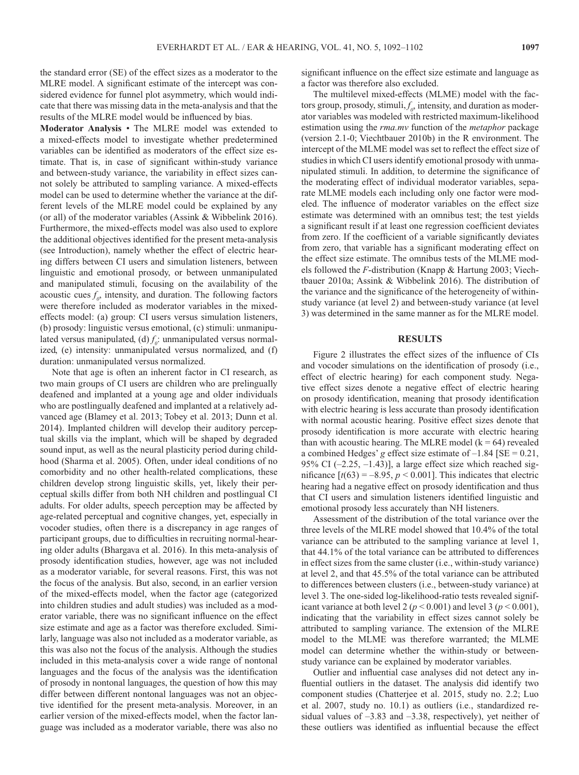the standard error (SE) of the effect sizes as a moderator to the MLRE model. A significant estimate of the intercept was considered evidence for funnel plot asymmetry, which would indicate that there was missing data in the meta-analysis and that the results of the MLRE model would be influenced by bias.

**Moderator Analysis** • The MLRE model was extended to a mixed-effects model to investigate whether predetermined variables can be identified as moderators of the effect size estimate. That is, in case of significant within-study variance and between-study variance, the variability in effect sizes cannot solely be attributed to sampling variance. A mixed-effects model can be used to determine whether the variance at the different levels of the MLRE model could be explained by any (or all) of the moderator variables (Assink & Wibbelink 2016). Furthermore, the mixed-effects model was also used to explore the additional objectives identified for the present meta-analysis (see Introduction), namely whether the effect of electric hearing differs between CI users and simulation listeners, between linguistic and emotional prosody, or between unmanipulated and manipulated stimuli, focusing on the availability of the acoustic cues  $f_{\rho}$ , intensity, and duration. The following factors were therefore included as moderator variables in the mixedeffects model: (a) group: CI users versus simulation listeners, (b) prosody: linguistic versus emotional, (c) stimuli: unmanipulated versus manipulated, (d)  $f<sub>o</sub>$ : unmanipulated versus normalized, (e) intensity: unmanipulated versus normalized, and (f) duration: unmanipulated versus normalized.

Note that age is often an inherent factor in CI research, as two main groups of CI users are children who are prelingually deafened and implanted at a young age and older individuals who are postlingually deafened and implanted at a relatively advanced age (Blamey et al. 2013; Tobey et al. 2013; Dunn et al. 2014). Implanted children will develop their auditory perceptual skills via the implant, which will be shaped by degraded sound input, as well as the neural plasticity period during childhood (Sharma et al. 2005). Often, under ideal conditions of no comorbidity and no other health-related complications, these children develop strong linguistic skills, yet, likely their perceptual skills differ from both NH children and postlingual CI adults. For older adults, speech perception may be affected by age-related perceptual and cognitive changes, yet, especially in vocoder studies, often there is a discrepancy in age ranges of participant groups, due to difficulties in recruiting normal-hearing older adults (Bhargava et al. 2016). In this meta-analysis of prosody identification studies, however, age was not included as a moderator variable, for several reasons. First, this was not the focus of the analysis. But also, second, in an earlier version of the mixed-effects model, when the factor age (categorized into children studies and adult studies) was included as a moderator variable, there was no significant influence on the effect size estimate and age as a factor was therefore excluded. Similarly, language was also not included as a moderator variable, as this was also not the focus of the analysis. Although the studies included in this meta-analysis cover a wide range of nontonal languages and the focus of the analysis was the identification of prosody in nontonal languages, the question of how this may differ between different nontonal languages was not an objective identified for the present meta-analysis. Moreover, in an earlier version of the mixed-effects model, when the factor language was included as a moderator variable, there was also no

significant influence on the effect size estimate and language as a factor was therefore also excluded.

The multilevel mixed-effects (MLME) model with the factors group, prosody, stimuli,  $f<sub>0</sub>$ , intensity, and duration as moderator variables was modeled with restricted maximum-likelihood estimation using the *rma.mv* function of the *metaphor* package (version 2.1-0; Viechtbauer 2010b) in the R environment. The intercept of the MLME model was set to reflect the effect size of studies in which CI users identify emotional prosody with unmanipulated stimuli. In addition, to determine the significance of the moderating effect of individual moderator variables, separate MLME models each including only one factor were modeled. The influence of moderator variables on the effect size estimate was determined with an omnibus test; the test yields a significant result if at least one regression coefficient deviates from zero. If the coefficient of a variable significantly deviates from zero, that variable has a significant moderating effect on the effect size estimate. The omnibus tests of the MLME models followed the *F*-distribution (Knapp & Hartung 2003; Viechtbauer 2010a; Assink & Wibbelink 2016). The distribution of the variance and the significance of the heterogeneity of withinstudy variance (at level 2) and between-study variance (at level 3) was determined in the same manner as for the MLRE model.

### **RESULTS**

Figure 2 illustrates the effect sizes of the influence of CIs and vocoder simulations on the identification of prosody (i.e., effect of electric hearing) for each component study. Negative effect sizes denote a negative effect of electric hearing on prosody identification, meaning that prosody identification with electric hearing is less accurate than prosody identification with normal acoustic hearing. Positive effect sizes denote that prosody identification is more accurate with electric hearing than with acoustic hearing. The MLRE model  $(k = 64)$  revealed a combined Hedges' *g* effect size estimate of  $-1.84$  [SE = 0.21, 95% CI  $(-2.25, -1.43)$ ], a large effect size which reached significance  $[t(63) = -8.95, p < 0.001]$ . This indicates that electric hearing had a negative effect on prosody identification and thus that CI users and simulation listeners identified linguistic and emotional prosody less accurately than NH listeners.

Assessment of the distribution of the total variance over the three levels of the MLRE model showed that 10.4% of the total variance can be attributed to the sampling variance at level 1, that 44.1% of the total variance can be attributed to differences in effect sizes from the same cluster (i.e., within-study variance) at level 2, and that 45.5% of the total variance can be attributed to differences between clusters (i.e., between-study variance) at level 3. The one-sided log-likelihood-ratio tests revealed significant variance at both level 2 ( $p < 0.001$ ) and level 3 ( $p < 0.001$ ), indicating that the variability in effect sizes cannot solely be attributed to sampling variance. The extension of the MLRE model to the MLME was therefore warranted; the MLME model can determine whether the within-study or betweenstudy variance can be explained by moderator variables.

Outlier and influential case analyses did not detect any influential outliers in the dataset. The analysis did identify two component studies (Chatterjee et al. 2015, study no. 2.2; Luo et al. 2007, study no. 10.1) as outliers (i.e., standardized residual values of  $-3.83$  and  $-3.38$ , respectively), yet neither of these outliers was identified as influential because the effect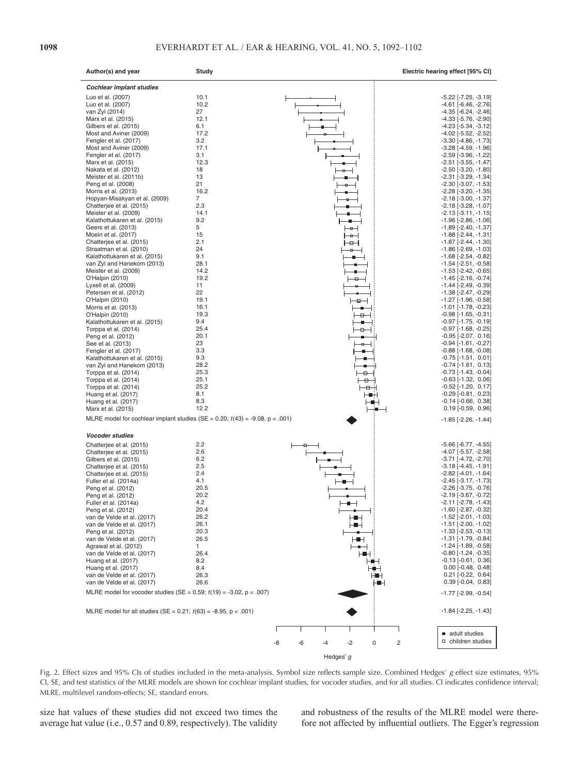

Fig. 2. Effect sizes and 95% CIs of studies included in the meta-analysis. Symbol size reflects sample size. Combined Hedges' *g* effect size estimates, 95% CI, SE, and test statistics of the MLRE models are shown for cochlear implant studies, for vocoder studies, and for all studies. CI indicates confidence interval; MLRE, multilevel random-effects; SE, standard errors.

size hat values of these studies did not exceed two times the average hat value (i.e., 0.57 and 0.89, respectively). The validity

and robustness of the results of the MLRE model were therefore not affected by influential outliers. The Egger's regression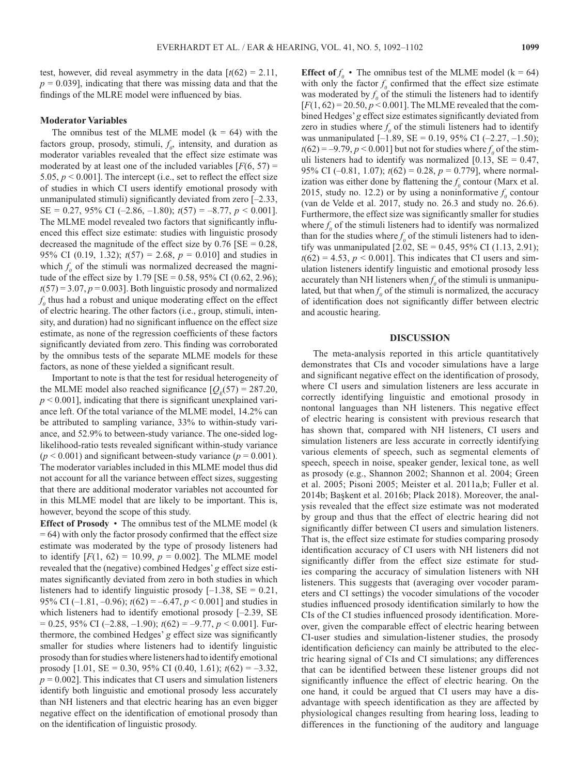findings of the MLRE model were influenced by bias.

### **Moderator Variables**

The omnibus test of the MLME model  $(k = 64)$  with the factors group, prosody, stimuli,  $f<sub>0</sub>$ , intensity, and duration as moderator variables revealed that the effect size estimate was moderated by at least one of the included variables  $[F(6, 57) =$ 5.05,  $p < 0.001$ ]. The intercept (i.e., set to reflect the effect size of studies in which CI users identify emotional prosody with unmanipulated stimuli) significantly deviated from zero [–2.33, SE = 0.27, 95% CI (–2.86, –1.80); *t*(57) = –8.77, *p* < 0.001]. The MLME model revealed two factors that significantly influenced this effect size estimate: studies with linguistic prosody decreased the magnitude of the effect size by  $0.76$  [SE =  $0.28$ , 95% CI (0.19, 1.32); *t*(57) = 2.68, *p* = 0.010] and studies in which  $f_0$  of the stimuli was normalized decreased the magnitude of the effect size by 1.79 [SE = 0.58, 95% CI (0.62, 2.96);  $t(57) = 3.07$ ,  $p = 0.003$ . Both linguistic prosody and normalized  $f_{\theta}$  thus had a robust and unique moderating effect on the effect of electric hearing. The other factors (i.e., group, stimuli, intensity, and duration) had no significant influence on the effect size estimate, as none of the regression coefficients of these factors significantly deviated from zero. This finding was corroborated by the omnibus tests of the separate MLME models for these factors, as none of these yielded a significant result.

Important to note is that the test for residual heterogeneity of the MLME model also reached significance  $[Q<sub>F</sub>(57) = 287.20$ ,  $p < 0.001$ ], indicating that there is significant unexplained variance left. Of the total variance of the MLME model, 14.2% can be attributed to sampling variance, 33% to within-study variance, and 52.9% to between-study variance. The one-sided loglikelihood-ratio tests revealed significant within-study variance  $(p < 0.001)$  and significant between-study variance  $(p = 0.001)$ . The moderator variables included in this MLME model thus did not account for all the variance between effect sizes, suggesting that there are additional moderator variables not accounted for in this MLME model that are likely to be important. This is, however, beyond the scope of this study.

**Effect of Prosody** • The omnibus test of the MLME model (k  $= 64$ ) with only the factor prosody confirmed that the effect size estimate was moderated by the type of prosody listeners had to identify  $[F(1, 62) = 10.99, p = 0.002]$ . The MLME model revealed that the (negative) combined Hedges' *g* effect size estimates significantly deviated from zero in both studies in which listeners had to identify linguistic prosody  $[-1.38, SE = 0.21,$ 95% CI (-1.81, -0.96);  $t(62) = -6.47$ ,  $p < 0.001$ ] and studies in which listeners had to identify emotional prosody [–2.39, SE = 0.25, 95% CI (–2.88, –1.90); *t*(62) = –9.77, *p* < 0.001]. Furthermore, the combined Hedges' *g* effect size was significantly smaller for studies where listeners had to identify linguistic prosody than for studies where listeners had to identify emotional prosody [1.01, SE = 0.30, 95% CI (0.40, 1.61); *t*(62) = –3.32,  $p = 0.002$ . This indicates that CI users and simulation listeners identify both linguistic and emotional prosody less accurately than NH listeners and that electric hearing has an even bigger negative effect on the identification of emotional prosody than on the identification of linguistic prosody.

**Effect of**  $f_0$  • The omnibus test of the MLME model ( $k = 64$ ) with only the factor  $f_{\theta}$  confirmed that the effect size estimate was moderated by  $f_0$  of the stimuli the listeners had to identify  $[F(1, 62) = 20.50, p < 0.001]$ . The MLME revealed that the combined Hedges' *g* effect size estimates significantly deviated from zero in studies where  $f_0$  of the stimuli listeners had to identify was unmanipulated [–1.89, SE = 0.19, 95% CI (–2.27, –1.50);  $t(62) = -9.79, p < 0.001$  but not for studies where  $f<sub>0</sub>$  of the stimuli listeners had to identify was normalized  $[0.13, SE = 0.47,$ 95% CI (–0.81, 1.07); *t*(62) = 0.28, *p* = 0.779], where normalization was either done by flattening the  $f_0$  contour (Marx et al. 2015, study no. 12.2) or by using a noninformative  $f_0$  contour (van de Velde et al. 2017, study no. 26.3 and study no. 26.6). Furthermore, the effect size was significantly smaller for studies where  $f_0$  of the stimuli listeners had to identify was normalized than for the studies where  $f_{\theta}$  of the stimuli listeners had to identify was unmanipulated [2.02, SE = 0.45, 95% CI (1.13, 2.91);  $t(62) = 4.53$ ,  $p < 0.001$ ]. This indicates that CI users and simulation listeners identify linguistic and emotional prosody less accurately than NH listeners when  $f_0$  of the stimuli is unmanipulated, but that when  $f_0$  of the stimuli is normalized, the accuracy of identification does not significantly differ between electric and acoustic hearing.

#### **DISCUSSION**

The meta-analysis reported in this article quantitatively demonstrates that CIs and vocoder simulations have a large and significant negative effect on the identification of prosody, where CI users and simulation listeners are less accurate in correctly identifying linguistic and emotional prosody in nontonal languages than NH listeners. This negative effect of electric hearing is consistent with previous research that has shown that, compared with NH listeners, CI users and simulation listeners are less accurate in correctly identifying various elements of speech, such as segmental elements of speech, speech in noise, speaker gender, lexical tone, as well as prosody (e.g., Shannon 2002; Shannon et al. 2004; Green et al. 2005; Pisoni 2005; Meister et al. 2011a,b; Fuller et al. 2014b; Başkent et al. 2016b; Plack 2018). Moreover, the analysis revealed that the effect size estimate was not moderated by group and thus that the effect of electric hearing did not significantly differ between CI users and simulation listeners. That is, the effect size estimate for studies comparing prosody identification accuracy of CI users with NH listeners did not significantly differ from the effect size estimate for studies comparing the accuracy of simulation listeners with NH listeners. This suggests that (averaging over vocoder parameters and CI settings) the vocoder simulations of the vocoder studies influenced prosody identification similarly to how the CIs of the CI studies influenced prosody identification. Moreover, given the comparable effect of electric hearing between CI-user studies and simulation-listener studies, the prosody identification deficiency can mainly be attributed to the electric hearing signal of CIs and CI simulations; any differences that can be identified between these listener groups did not significantly influence the effect of electric hearing. On the one hand, it could be argued that CI users may have a disadvantage with speech identification as they are affected by physiological changes resulting from hearing loss, leading to differences in the functioning of the auditory and language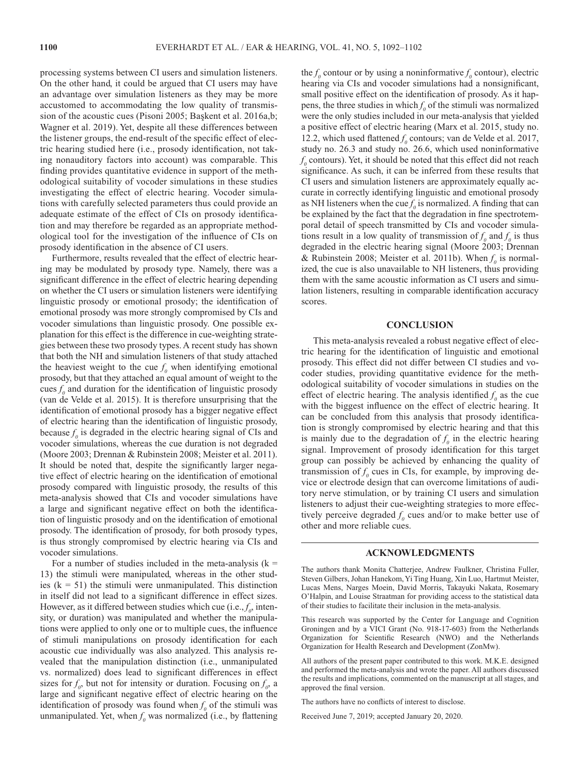processing systems between CI users and simulation listeners. On the other hand, it could be argued that CI users may have an advantage over simulation listeners as they may be more accustomed to accommodating the low quality of transmission of the acoustic cues (Pisoni 2005; Başkent et al. 2016a,b; Wagner et al. 2019). Yet, despite all these differences between the listener groups, the end-result of the specific effect of electric hearing studied here (i.e., prosody identification, not taking nonauditory factors into account) was comparable. This finding provides quantitative evidence in support of the methodological suitability of vocoder simulations in these studies investigating the effect of electric hearing. Vocoder simulations with carefully selected parameters thus could provide an adequate estimate of the effect of CIs on prosody identification and may therefore be regarded as an appropriate methodological tool for the investigation of the influence of CIs on prosody identification in the absence of CI users.

Furthermore, results revealed that the effect of electric hearing may be modulated by prosody type. Namely, there was a significant difference in the effect of electric hearing depending on whether the CI users or simulation listeners were identifying linguistic prosody or emotional prosody; the identification of emotional prosody was more strongly compromised by CIs and vocoder simulations than linguistic prosody. One possible explanation for this effect is the difference in cue-weighting strategies between these two prosody types. A recent study has shown that both the NH and simulation listeners of that study attached the heaviest weight to the cue  $f_0$  when identifying emotional prosody, but that they attached an equal amount of weight to the cues  $f_0$  and duration for the identification of linguistic prosody (van de Velde et al. 2015). It is therefore unsurprising that the identification of emotional prosody has a bigger negative effect of electric hearing than the identification of linguistic prosody, because  $f_0$  is degraded in the electric hearing signal of CIs and vocoder simulations, whereas the cue duration is not degraded (Moore 2003; Drennan & Rubinstein 2008; Meister et al. 2011). It should be noted that, despite the significantly larger negative effect of electric hearing on the identification of emotional prosody compared with linguistic prosody, the results of this meta-analysis showed that CIs and vocoder simulations have a large and significant negative effect on both the identification of linguistic prosody and on the identification of emotional prosody. The identification of prosody, for both prosody types, is thus strongly compromised by electric hearing via CIs and vocoder simulations.

For a number of studies included in the meta-analysis  $(k =$ 13) the stimuli were manipulated, whereas in the other studies  $(k = 51)$  the stimuli were unmanipulated. This distinction in itself did not lead to a significant difference in effect sizes. However, as it differed between studies which cue (i.e.,  $f<sub>0</sub>$ , intensity, or duration) was manipulated and whether the manipulations were applied to only one or to multiple cues, the influence of stimuli manipulations on prosody identification for each acoustic cue individually was also analyzed. This analysis revealed that the manipulation distinction (i.e., unmanipulated vs. normalized) does lead to significant differences in effect sizes for  $f_0$ , but not for intensity or duration. Focusing on  $f_0$ , a large and significant negative effect of electric hearing on the identification of prosody was found when  $f_0$  of the stimuli was unmanipulated. Yet, when  $f_0$  was normalized (i.e., by flattening

the  $f_0$  contour or by using a noninformative  $f_0$  contour), electric hearing via CIs and vocoder simulations had a nonsignificant, small positive effect on the identification of prosody. As it happens, the three studies in which  $f_0$  of the stimuli was normalized were the only studies included in our meta-analysis that yielded a positive effect of electric hearing (Marx et al. 2015, study no. 12.2, which used flattened  $f_0$  contours; van de Velde et al. 2017, study no. 26.3 and study no. 26.6, which used noninformative  $f_0$  contours). Yet, it should be noted that this effect did not reach significance. As such, it can be inferred from these results that CI users and simulation listeners are approximately equally accurate in correctly identifying linguistic and emotional prosody as NH listeners when the cue  $f_{\theta}$  is normalized. A finding that can be explained by the fact that the degradation in fine spectrotemporal detail of speech transmitted by CIs and vocoder simulations result in a low quality of transmission of  $f_0$  and  $f_0$  is thus degraded in the electric hearing signal (Moore 2003; Drennan & Rubinstein 2008; Meister et al. 2011b). When  $f_0$  is normalized, the cue is also unavailable to NH listeners, thus providing them with the same acoustic information as CI users and simulation listeners, resulting in comparable identification accuracy scores.

# **CONCLUSION**

This meta-analysis revealed a robust negative effect of electric hearing for the identification of linguistic and emotional prosody. This effect did not differ between CI studies and vocoder studies, providing quantitative evidence for the methodological suitability of vocoder simulations in studies on the effect of electric hearing. The analysis identified  $f_0$  as the cue with the biggest influence on the effect of electric hearing. It can be concluded from this analysis that prosody identification is strongly compromised by electric hearing and that this is mainly due to the degradation of  $f_{\theta}$  in the electric hearing signal. Improvement of prosody identification for this target group can possibly be achieved by enhancing the quality of transmission of  $f_0$  cues in CIs, for example, by improving device or electrode design that can overcome limitations of auditory nerve stimulation, or by training CI users and simulation listeners to adjust their cue-weighting strategies to more effectively perceive degraded  $f_0$  cues and/or to make better use of other and more reliable cues.

# **ACKNOWLEDGMENTS**

The authors thank Monita Chatterjee, Andrew Faulkner, Christina Fuller, Steven Gilbers, Johan Hanekom, Yi Ting Huang, Xin Luo, Hartmut Meister, Lucas Mens, Narges Moein, David Morris, Takayuki Nakata, Rosemary O'Halpin, and Louise Straatman for providing access to the statistical data of their studies to facilitate their inclusion in the meta-analysis.

This research was supported by the Center for Language and Cognition Groningen and by a VICI Grant (No. 918-17-603) from the Netherlands Organization for Scientific Research (NWO) and the Netherlands Organization for Health Research and Development (ZonMw).

All authors of the present paper contributed to this work. M.K.E. designed and performed the meta-analysis and wrote the paper. All authors discussed the results and implications, commented on the manuscript at all stages, and approved the final version.

The authors have no conflicts of interest to disclose.

Received June 7, 2019; accepted January 20, 2020.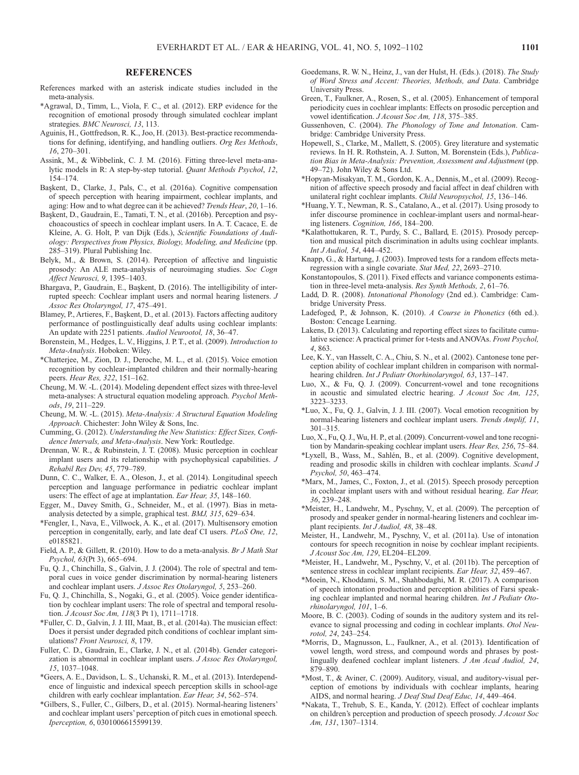- References marked with an asterisk indicate studies included in the meta-analysis.
- \*Agrawal, D., Timm, L., Viola, F. C., et al. (2012). ERP evidence for the recognition of emotional prosody through simulated cochlear implant strategies. *BMC Neurosci, 13*, 113.
- Aguinis, H., Gottfredson, R. K., Joo, H. (2013). Best-practice recommendations for defining, identifying, and handling outliers. *Org Res Methods*, *16*, 270–301.
- Assink, M., & Wibbelink, C. J. M. (2016). Fitting three-level meta-analytic models in R: A step-by-step tutorial. *Quant Methods Psychol*, *12*, 154–174.
- Başkent, D., Clarke, J., Pals, C., et al. (2016a). Cognitive compensation of speech perception with hearing impairment, cochlear implants, and aging: How and to what degree can it be achieved? *Trends Hear*, *20*, 1–16.
- Başkent, D., Gaudrain, E., Tamati, T. N., et al. (2016b). Perception and psychoacoustics of speech in cochlear implant users. In A. T. Cacace, E. de Kleine, A. G. Holt, P. van Dijk (Eds.), *Scientific Foundations of Audiology: Perspectives from Physics, Biology, Modeling, and Medicine* (pp. 285–319). Plural Publishing Inc.
- Belyk, M., & Brown, S. (2014). Perception of affective and linguistic prosody: An ALE meta-analysis of neuroimaging studies. *Soc Cogn Affect Neurosci, 9*, 1395–1403.
- Bhargava, P., Gaudrain, E., Başkent, D. (2016). The intelligibility of interrupted speech: Cochlear implant users and normal hearing listeners. *J Assoc Res Otolaryngol, 17*, 475–491.
- Blamey, P., Artieres, F., Başkent, D., et al. (2013). Factors affecting auditory performance of postlinguistically deaf adults using cochlear implants: An update with 2251 patients. *Audiol Neurootol, 18*, 36–47.
- Borenstein, M., Hedges, L. V., Higgins, J. P. T., et al. (2009). *Introduction to Meta-Analysis*. Hoboken: Wiley.
- \*Chatterjee, M., Zion, D. J., Deroche, M. L., et al. (2015). Voice emotion recognition by cochlear-implanted children and their normally-hearing peers. *Hear Res, 322*, 151–162.
- Cheung, M. W. -L. (2014). Modeling dependent effect sizes with three-level meta-analyses: A structural equation modeling approach. *Psychol Methods*, *19*, 211–229.
- Cheung, M. W. -L. (2015). *Meta-Analysis: A Structural Equation Modeling Approach*. Chichester: John Wiley & Sons, Inc.
- Cumming, G. (2012). *Understanding the New Statistics: Effect Sizes, Confidence Intervals, and Meta-Analysis*. New York: Routledge.
- Drennan, W. R., & Rubinstein, J. T. (2008). Music perception in cochlear implant users and its relationship with psychophysical capabilities. *J Rehabil Res Dev, 45*, 779–789.
- Dunn, C. C., Walker, E. A., Oleson, J., et al. (2014). Longitudinal speech perception and language performance in pediatric cochlear implant users: The effect of age at implantation. *Ear Hear, 35*, 148–160.
- Egger, M., Davey Smith, G., Schneider, M., et al. (1997). Bias in metaanalysis detected by a simple, graphical test. *BMJ, 315*, 629–634.
- \*Fengler, I., Nava, E., Villwock, A. K., et al. (2017). Multisensory emotion perception in congenitally, early, and late deaf CI users. *PLoS One, 12*, e0185821.
- Field, A. P., & Gillett, R. (2010). How to do a meta-analysis. *Br J Math Stat Psychol, 63*(Pt 3), 665–694.
- Fu, Q. J., Chinchilla, S., Galvin, J. J. (2004). The role of spectral and temporal cues in voice gender discrimination by normal-hearing listeners and cochlear implant users. *J Assoc Res Otolaryngol, 5*, 253–260.
- Fu, Q. J., Chinchilla, S., Nogaki, G., et al. (2005). Voice gender identification by cochlear implant users: The role of spectral and temporal resolution. *J Acoust Soc Am, 118*(3 Pt 1), 1711–1718.
- \*Fuller, C. D., Galvin, J. J. III, Maat, B., et al. (2014a). The musician effect: Does it persist under degraded pitch conditions of cochlear implant simulations? *Front Neurosci, 8*, 179.
- Fuller, C. D., Gaudrain, E., Clarke, J. N., et al. (2014b). Gender categorization is abnormal in cochlear implant users. *J Assoc Res Otolaryngol, 15*, 1037–1048.
- \*Geers, A. E., Davidson, L. S., Uchanski, R. M., et al. (2013). Interdependence of linguistic and indexical speech perception skills in school-age children with early cochlear implantation. *Ear Hear, 34*, 562–574.
- \*Gilbers, S., Fuller, C., Gilbers, D., et al. (2015). Normal-hearing listeners' and cochlear implant users' perception of pitch cues in emotional speech. *Iperception, 6*, 0301006615599139.
- Goedemans, R. W. N., Heinz, J., van der Hulst, H. (Eds.). (2018). *The Study of Word Stress and Accent: Theories, Methods, and Data*. Cambridge University Press.
- Green, T., Faulkner, A., Rosen, S., et al. (2005). Enhancement of temporal periodicity cues in cochlear implants: Effects on prosodic perception and vowel identification. *J Acoust Soc Am, 118*, 375–385.
- Gussenhoven, C. (2004). *The Phonology of Tone and Intonation*. Cambridge: Cambridge University Press.
- Hopewell, S., Clarke, M., Mallett, S. (2005). Grey literature and systematic reviews. In H. R. Rothstein, A. J. Sutton, M. Borenstein (Eds.), *Publication Bias in Meta-Analysis: Prevention, Assessment and Adjustment* (pp. 49–72). John Wiley & Sons Ltd.
- \*Hopyan-Misakyan, T. M., Gordon, K. A., Dennis, M., et al. (2009). Recognition of affective speech prosody and facial affect in deaf children with unilateral right cochlear implants. *Child Neuropsychol, 15*, 136–146.
- \*Huang, Y. T., Newman, R. S., Catalano, A., et al. (2017). Using prosody to infer discourse prominence in cochlear-implant users and normal-hearing listeners. *Cognition, 166*, 184–200.
- \*Kalathottukaren, R. T., Purdy, S. C., Ballard, E. (2015). Prosody perception and musical pitch discrimination in adults using cochlear implants. *Int J Audiol, 54*, 444–452.
- Knapp, G., & Hartung, J. (2003). Improved tests for a random effects metaregression with a single covariate. *Stat Med, 22*, 2693–2710.
- Konstantopoulos, S. (2011). Fixed effects and variance components estimation in three-level meta-analysis. *Res Synth Methods, 2*, 61–76.
- Ladd, D. R. (2008). *Intonational Phonology* (2nd ed.). Cambridge: Cambridge University Press.
- Ladefoged, P., & Johnson, K. (2010). *A Course in Phonetics* (6th ed.). Boston: Cencage Learning.
- Lakens, D. (2013). Calculating and reporting effect sizes to facilitate cumulative science: A practical primer for t-tests and ANOVAs. *Front Psychol, 4*, 863.
- Lee, K. Y., van Hasselt, C. A., Chiu, S. N., et al. (2002). Cantonese tone perception ability of cochlear implant children in comparison with normalhearing children. *Int J Pediatr Otorhinolaryngol, 63*, 137–147.
- Luo, X., & Fu, Q. J. (2009). Concurrent-vowel and tone recognitions in acoustic and simulated electric hearing. *J Acoust Soc Am, 125*, 3223–3233.
- \*Luo, X., Fu, Q. J., Galvin, J. J. III. (2007). Vocal emotion recognition by normal-hearing listeners and cochlear implant users. *Trends Amplif, 11*, 301–315.
- Luo, X., Fu, Q. J., Wu, H. P., et al. (2009). Concurrent-vowel and tone recognition by Mandarin-speaking cochlear implant users. *Hear Res, 256*, 75–84.
- \*Lyxell, B., Wass, M., Sahlén, B., et al. (2009). Cognitive development, reading and prosodic skills in children with cochlear implants. *Scand J Psychol, 50*, 463–474.
- \*Marx, M., James, C., Foxton, J., et al. (2015). Speech prosody perception in cochlear implant users with and without residual hearing. *Ear Hear, 36*, 239–248.
- \*Meister, H., Landwehr, M., Pyschny, V., et al. (2009). The perception of prosody and speaker gender in normal-hearing listeners and cochlear implant recipients. *Int J Audiol, 48*, 38–48.
- Meister, H., Landwehr, M., Pyschny, V., et al. (2011a). Use of intonation contours for speech recognition in noise by cochlear implant recipients. *J Acoust Soc Am, 129*, EL204–EL209.
- \*Meister, H., Landwehr, M., Pyschny, V., et al. (2011b). The perception of sentence stress in cochlear implant recipients. *Ear Hear, 32*, 459–467.
- \*Moein, N., Khoddami, S. M., Shahbodaghi, M. R. (2017). A comparison of speech intonation production and perception abilities of Farsi speaking cochlear implanted and normal hearing children. *Int J Pediatr Otorhinolaryngol, 101*, 1–6.
- Moore, B. C. (2003). Coding of sounds in the auditory system and its relevance to signal processing and coding in cochlear implants. *Otol Neurotol, 24*, 243–254.
- \*Morris, D., Magnusson, L., Faulkner, A., et al. (2013). Identification of vowel length, word stress, and compound words and phrases by postlingually deafened cochlear implant listeners. *J Am Acad Audiol, 24*, 879–890.
- \*Most, T., & Aviner, C. (2009). Auditory, visual, and auditory-visual perception of emotions by individuals with cochlear implants, hearing AIDS, and normal hearing. *J Deaf Stud Deaf Educ, 14*, 449–464.
- \*Nakata, T., Trehub, S. E., Kanda, Y. (2012). Effect of cochlear implants on children's perception and production of speech prosody. *J Acoust Soc Am, 131*, 1307–1314.